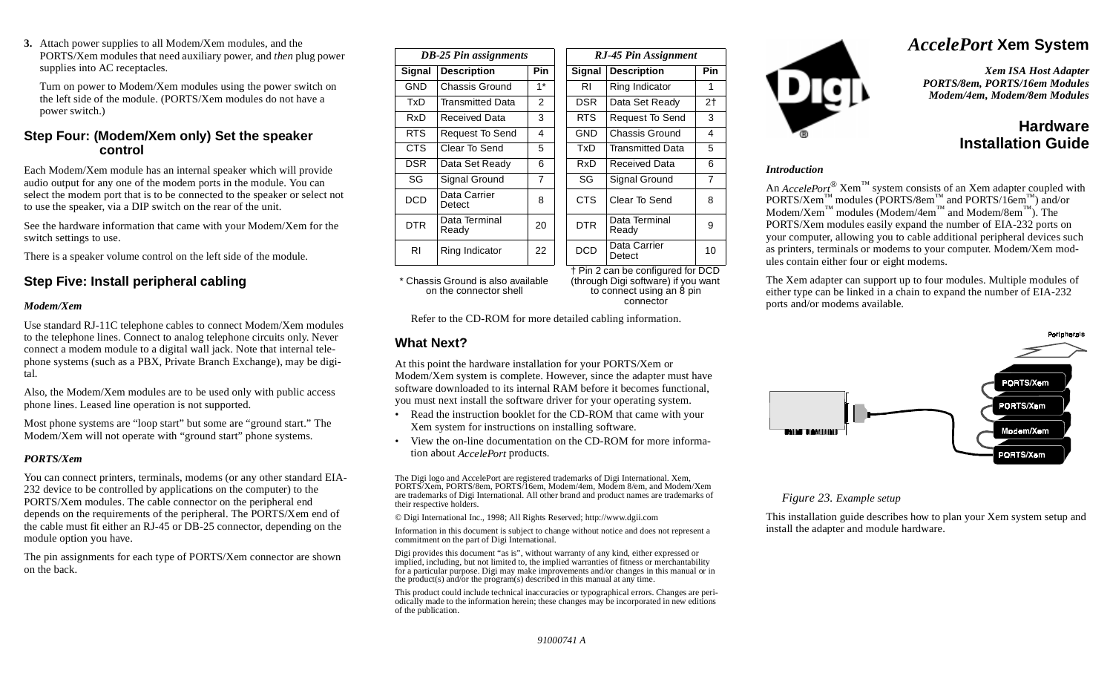**3.** Attach power supplies to all Modem/Xem modules, and the PORTS/Xem modules that need auxiliary power, and *then* plug power supplies into AC receptacles.

Turn on power to Modem/Xem modules using the power switch on the left side of the module. (PORTS/Xem modules do not have a power switch.)

### **Step Four: (Modem/Xem only) Set the speaker control**

Each Modem/Xem module has an internal speaker which will provide audio output for any one of the modem ports in the module. You can select the modem port that is to be connected to the speaker or select not to use the speaker, via a DIP switch on the rear of the unit.

See the hardware information that came with your Modem/Xem for the switch settings to use.

There is a speaker volume control on the left side of the module.

## **Step Five: Install peripheral cabling**

#### *Modem/Xem*

Use standard RJ-11C telephone cables to connect Modem/Xem modules to the telephone lines. Connect to analog telephone circuits only. Never connect a modem module to a digital wall jack. Note that internal telephone systems (such as a PBX, Private Branch Exchange), may be digital.

Also, the Modem/Xem modules are to be used only with public access phone lines. Leased line operation is not supported.

Most phone systems are "loop start" but some are "ground start." The Modem/Xem will not operate with "ground start" phone systems.

#### *PORTS/Xem*

You can connect printers, terminals, modems (or any other standard EIA-232 device to be controlled by applications on the computer) to the PORTS/Xem modules. The cable connector on the peripheral end depends on the requirements of the peripheral. The PORTS/Xem end of the cable must fit either an RJ-45 or DB-25 connector, depending on the module option you have.

The pin assignments for each type of PORTS/Xem connector are shown on the back.

| <b>DB-25 Pin assignments</b> |                        |                |  | RJ-45 Pin Assignment |                                  |     |  |
|------------------------------|------------------------|----------------|--|----------------------|----------------------------------|-----|--|
| <b>Signal</b>                | <b>Description</b>     | <b>Pin</b>     |  | Signal               | <b>Description</b>               | Pin |  |
| GND                          | Chassis Ground         | $1*$           |  | RI                   | Ring Indicator                   | 1   |  |
| TxD                          | Transmitted Data       | 2              |  | DSR.                 | 2 <sub>1</sub><br>Data Set Ready |     |  |
| RxD                          | Received Data          | 3              |  | RTS.                 | Request To Send                  |     |  |
| RTS.                         | <b>Request To Send</b> | 4              |  | <b>GND</b>           | Chassis Ground                   | 4   |  |
| CTS.                         | Clear To Send          | 5              |  | TxD                  | <b>Transmitted Data</b>          | 5   |  |
| <b>DSR</b>                   | Data Set Ready         | 6              |  | RxD                  | Received Data                    |     |  |
| SG                           | Signal Ground          | $\overline{7}$ |  | SG                   | Signal Ground                    |     |  |
| <b>DCD</b>                   | Data Carrier<br>Detect | 8              |  | CTS.                 | Clear To Send                    |     |  |
| <b>DTR</b>                   | Data Terminal<br>Ready | 20             |  | <b>DTR</b>           | Data Terminal<br>Ready           |     |  |
| RI                           | Ring Indicator         | 22             |  | <b>DCD</b>           | Data Carrier<br>10<br>Detect     |     |  |

\* Chassis Ground is also available on the connector shell

† Pin 2 can be configured for DCD (through Digi software) if you want to connect using an 8 pin connector

Refer to the CD-ROM for more detailed cabling information.

### **What Next?**

At this point the hardware installation for your PORTS/Xem or Modem/Xem system is complete. However, since the adapter must have software downloaded to its internal RAM before it becomes functional, you must next install the software driver for your operating system.

- • Read the instruction booklet for the CD-ROM that came with your Xem system for instructions on installing software.
- • View the on-line documentation on the CD-ROM for more information about *AccelePort* products.

The Digi logo and AccelePort are registered trademarks of Digi International. Xem, PORTS/Xem, PORTS/8em, PORTS/16em, Modem/4em, Modem 8/em, and Modem/Xem are trademarks of Digi International. All other brand and product names are trademarks of their respective holders.

© Digi International Inc., 1998; All Rights Reserved; http://www.dgii.com

Information in this document is subject to change without notice and does not represent a commitment on the part of Digi International.

Digi provides this document "as is", without warranty of any kind, either expressed or implied, including, but not limited to, the implied warranties of fitness or merchantability for a particular purpose. Digi may make improvements and/or changes in this manual or in the product(s) and/or the program(s) described in this manual at any time.

This product could include technical inaccuracies or typographical errors. Changes are periodically made to the information herein; these changes may be incorporated in new editions of the publication.



# *AccelePort* **Xem System**

*Xem ISA Host Adapter PORTS/8em, PORTS/16em Modules Modem/4em, Modem/8em Modules*

# **HardwareInstallation Guide**

#### *Introduction*

An *AccelePort*<sup>®</sup> Xem<sup>™</sup> system consists of an Xem adapter coupled with  $PORTS/Xem$ <sup>™</sup> modules (PORTS/8em<sup>™</sup> and PORTS/16em<sup>™</sup>) and/or  $\text{Modern/Xem}^{\text{TM}}$  modules (Modem/4em<sup> $\text{TM}}$ </sup> and Modem/8em<sup> $\text{TM}}$ </sup>). The PORTS/Xem modules easily expand the number of EIA-232 ports on your computer, allowing you to cable additional peripheral devices such as printers, terminals or modems to your computer. Modem/Xem modules contain either four or eight modems.

The Xem adapter can support up to four modules. Multiple modules of either type can be linked in a chain to expand the number of EIA-232 ports and/or modems available.



#### *Figure 23. Example setup*

This installation guide describes how to plan your Xem system setup and install the adapter and module hardware.